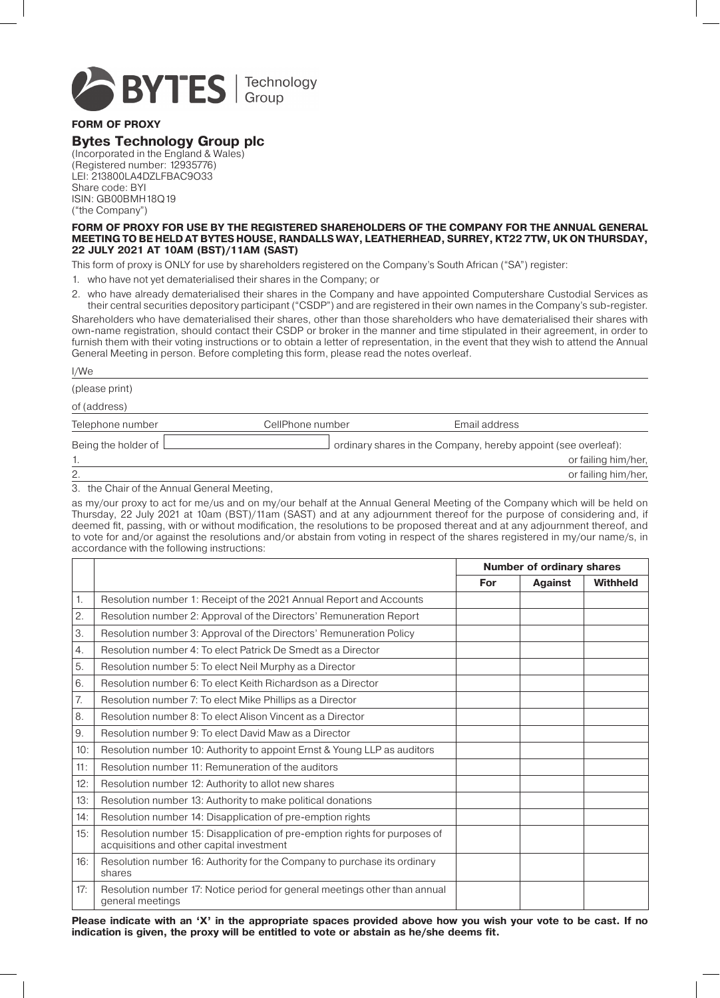

**FORM OF PROXY**

# **Bytes Technology Group plc**

(Incorporated in the England & Wales) (Registered number: 12935776) LEI: 213800LA4DZLFBAC9O33 Share code: BYI ISIN: GB00BMH18Q19 ("the Company")

**FORM OF PROXY FOR USE BY THE REGISTERED SHAREHOLDERS OF THE COMPANY FOR THE ANNUAL GENERAL MEETING TO BE HELD AT BYTES HOUSE, RANDALLS WAY, LEATHERHEAD, SURREY, KT22 7TW, UK ON THURSDAY, 22 JULY 2021 AT 10AM (BST)/11AM (SAST)**

This form of proxy is ONLY for use by shareholders registered on the Company's South African ("SA") register:

1. who have not yet dematerialised their shares in the Company; or

2. who have already dematerialised their shares in the Company and have appointed Computershare Custodial Services as their central securities depository participant ("CSDP") and are registered in their own names in the Company's sub-register.

Shareholders who have dematerialised their shares, other than those shareholders who have dematerialised their shares with own-name registration, should contact their CSDP or broker in the manner and time stipulated in their agreement, in order to furnish them with their voting instructions or to obtain a letter of representation, in the event that they wish to attend the Annual General Meeting in person. Before completing this form, please read the notes overleaf.

| I/We                |                  |                                                                |
|---------------------|------------------|----------------------------------------------------------------|
| (please print)      |                  |                                                                |
| of (address)        |                  |                                                                |
| Telephone number    | CellPhone number | Email address                                                  |
| Being the holder of |                  | ordinary shares in the Company, hereby appoint (see overleaf): |
|                     |                  | or failing him/her,                                            |
| 2.                  |                  | or failing him/her,                                            |

3. the Chair of the Annual General Meeting,

as my/our proxy to act for me/us and on my/our behalf at the Annual General Meeting of the Company which will be held on Thursday, 22 July 2021 at 10am (BST)/11am (SAST) and at any adjournment thereof for the purpose of considering and, if deemed fit, passing, with or without modification, the resolutions to be proposed thereat and at any adjournment thereof, and to vote for and/or against the resolutions and/or abstain from voting in respect of the shares registered in my/our name/s, in accordance with the following instructions:

|                  |                                                                                                                         | <b>Number of ordinary shares</b> |                |                 |
|------------------|-------------------------------------------------------------------------------------------------------------------------|----------------------------------|----------------|-----------------|
|                  |                                                                                                                         | For                              | <b>Against</b> | <b>Withheld</b> |
| 1.               | Resolution number 1: Receipt of the 2021 Annual Report and Accounts                                                     |                                  |                |                 |
| 2.               | Resolution number 2: Approval of the Directors' Remuneration Report                                                     |                                  |                |                 |
| 3.               | Resolution number 3: Approval of the Directors' Remuneration Policy                                                     |                                  |                |                 |
| $\overline{4}$ . | Resolution number 4: To elect Patrick De Smedt as a Director                                                            |                                  |                |                 |
| 5.               | Resolution number 5: To elect Neil Murphy as a Director                                                                 |                                  |                |                 |
| 6.               | Resolution number 6: To elect Keith Richardson as a Director                                                            |                                  |                |                 |
| 7.               | Resolution number 7: To elect Mike Phillips as a Director                                                               |                                  |                |                 |
| 8.               | Resolution number 8: To elect Alison Vincent as a Director                                                              |                                  |                |                 |
| 9.               | Resolution number 9: To elect David Maw as a Director                                                                   |                                  |                |                 |
| 10:              | Resolution number 10: Authority to appoint Ernst & Young LLP as auditors                                                |                                  |                |                 |
| 11:              | Resolution number 11: Remuneration of the auditors                                                                      |                                  |                |                 |
| 12:              | Resolution number 12: Authority to allot new shares                                                                     |                                  |                |                 |
| 13:              | Resolution number 13: Authority to make political donations                                                             |                                  |                |                 |
| 14:              | Resolution number 14: Disapplication of pre-emption rights                                                              |                                  |                |                 |
| 15:              | Resolution number 15: Disapplication of pre-emption rights for purposes of<br>acquisitions and other capital investment |                                  |                |                 |
| 16:              | Resolution number 16: Authority for the Company to purchase its ordinary<br>shares                                      |                                  |                |                 |
| 17:              | Resolution number 17: Notice period for general meetings other than annual<br>general meetings                          |                                  |                |                 |

**Please indicate with an 'X´ in the appropriate spaces provided above how you wish your vote to be cast. If no indication is given, the proxy will be entitled to vote or abstain as he/she deems fit.**